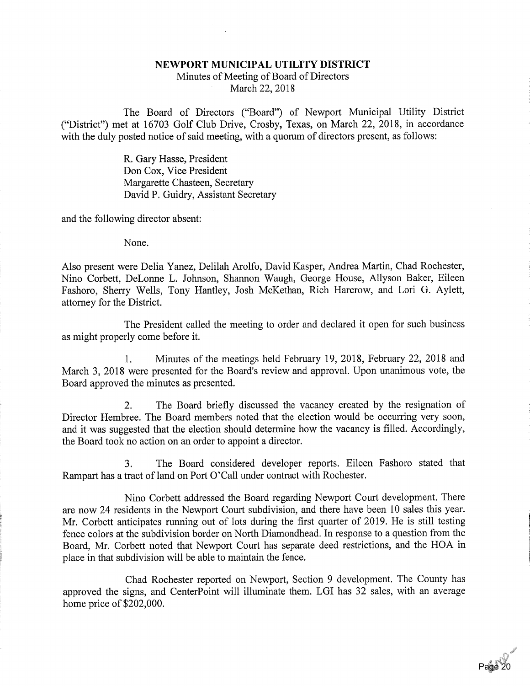## NEWPORT MUNICIPAL UTILITY DISTRICT Minutes of Meeting of Board of Directors

March 22, 2018

The Board of Directors ("Board") of Newport Municipal Utility District ("District") met at 16703 Golf Club Drive, Crosby, Texas, on March 22, 2018, in accordancewith the duly posted notice of said meeting, with a quorum of directors present, as follows:

> R. Gary Hasse, President Don Cox, Vice President Margarette Chasteen, SecretaryDavid P. Guidry, Assistant Secretary

and the following director absent:

None.

Also present were Delia Yanez, Delilah Arolfo, David Kasper, Andrea Martin, Chad Rochester, Nino Corbett, DeLonne L. Johnson, Shannon Waugh, George House, Allyson Baker, Eileen Fashoro, Sherry Wells, Tony Hantley, Josh McKethan, Rich Harcrow, and Lori G. Aylett,attorney for the District.

The President called the meeting to order and declared it open for such businessas might properly come before it.

1. Minutes of the meetings held February 19, 2018, Febmary 22, 2018 and March 3, 2018 were presented for the Board's review and approval. Upon unanimous vote, theBoard approved the minutes as presented.

2. The Board briefly discussed the vacancy created by the resignation of Director Hembree. The Board members noted that the election would be occurring very soon, and it was suggested that the election should determine how the vacancy is filled. Accordingly,the Board took no action on an order to appoint a director.

3. The Board considered developer reports. Eileen Fashoro stated thatRampart has a tract of land on Port 0'Call under contract with Rochester.

Nino Corbett addressed the Board regarding Newport Court development. There are now 24 residents in the Newport Court subdivision, and there have been 10 sales this year. Mr. Corbett anticipates running out of lots during the first quarter of 2019. He is still testing fence colors at the subdivision border on North Diamondhead. In response to a question from the Board, Mr. Corbett noted that Newport Court has separate deed restrictions, and the HOA inplace in that subdivision will be able to maintain the fence.

Chad Rochester reported on Newport, Section 9 development. The County has approved the signs, and CenterPoint will illuminate them. LGI has 32 sales, with an averagehome price of \$202,000.

 $\sim$   $\sim$ 

ر<br>20 Pa<mark>ge</mark>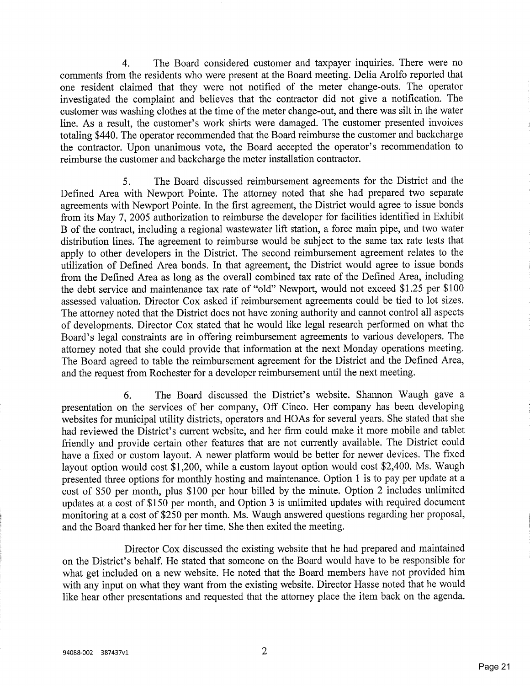4. The Board considered customer and taxpayer inquiries. There were no comments from the residents who were present at the Board meeting. Delia Arolfo reported that one resident claimed that they were not notified of the meter change-outs. The operator investigated the complaint and believes that the contractor did not give a notification. The customer was washing clothes at the time of the meter change-out, and there was silt in the water line. As a result, the customer's work shirts were damaged. The customer presented invoices totaling \$440. The operator recommended that the Board reimburse the customer and backcharge the contractor. Upon unanimous vote, the Board accepted the operator's recommendation toreimburse the customer and backcharge the meter installation contractor.

5. The Board discussed reimbursement agreements for the District and the Defined Area with Newport Pointe. The attorney noted that she had prepared two separate agreements with Newport Pointe. In the first agreement, the District would agree to issue bonds from its May 7, 2005 authorization to reimburse the developer for facilities identified in ExhibitB of the contract, including a regional wastewater lift station, a force main pipe, and two water distribution lines. The agreement to reimburse would be subject to the same tax rate tests that apply to other developers in the District. The second reimbursement agreement relates to the utilization of Defined Area bonds. In that agreement, the District would agree to issue bonds from the Defined Area as long as the overall combined tax rate of the Defined Area, including the debt service and maintenance tax rate of "old" Newport, would not exceed \$1.25 per \$100 assessed valuation. Director Cox asked if reimbursement agreements could be tied to lot sizes. The attorney noted that the District does not have zoning authority and cannot control all aspects of developments. Director Cox stated that he would like legal research performed on what the Board's legal constraints are in offering reimbursement agreements to various developers. The attorney noted that she could provide that information at the next Monday operations meeting. The Board agreed to table the reimbursement agreement for the District and the Defined Area,and the request from Rochester for a developer reimbursement until the next meeting.

6. The Board discussed the District's website. Shannon Waugh gave a presentation on the services of her company. Off Cinco. Her company has been developing websites for municipal utility districts, operators and HOAs for several years. She stated that she had reviewed the District's current website, and her firm could make it more mobile and tablet friendly and provide certain other features that are not currently available. The District could have a fixed or custom layout. A newer platform would be better for newer devices. The fixed layout option would cost \$1,200, while a custom layout option would cost \$2,400. Ms. Waugh presented three options for monthly hosting and maintenance. Option 1 is to pay per update at a cost of \$50 per month, plus \$100 per hour billed by the minute. Option 2 includes unlimited updates at a cost of \$150 per month, and Option 3 is unlimited updates with required document monitoring at a cost of \$250 per month. Ms. Waugh answered questions regarding her proposal,and the Board thanked her for her time. She then exited the meeting.

Director Cox discussed the existing website that he had prepared and maintained on the District's behalf. He stated that someone on the Board would have to be responsible for what get included on a new website. He noted that the Board members have not provided him with any input on what they want from the existing website. Director Hasse noted that he wouldlike hear other presentations and requested that the attorney place the item back on the agenda.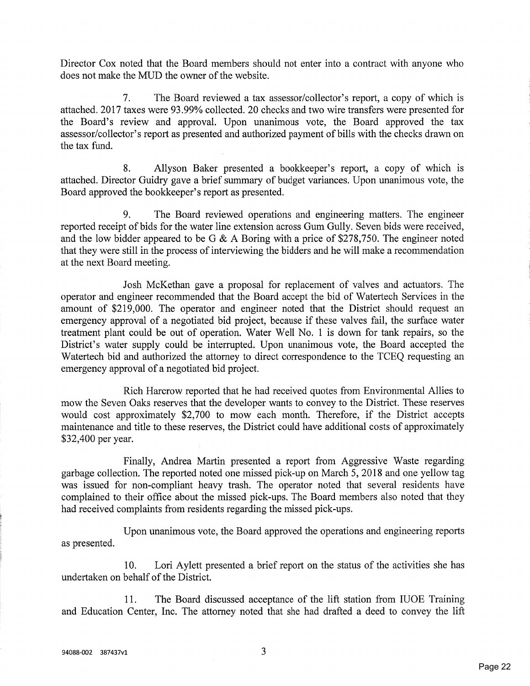Director Cox noted that the Board members should not enter into a contract with anyone whodoes not make the MUD the owner of the website.

7. The Board reviewed a tax assessor/collector's report, a copy of which is attached. 2017 taxes were 93.99% collected. 20 checks and two wire transfers were presented for the Board's review and approval. Upon unanimous vote, the Board approved the tax assessor/collector's report as presented and authorized payment of bills with the checks drawn onthe tax fund.

8. Allyson Baker presented a bookkeeper's report, a copy of which is attached. Director Guidry gave a brief summary of budget variances. Upon unanimous vote, theBoard approved the bookkeeper's report as presented.

9. The Board reviewed operations and engineering matters. The engineer reported receipt of bids for the water line extension across Gum Gully. Seven bids were received,and the low bidder appeared to be G & A Boring with a price of \$278,750. The engineer noted that they were still in the process of interviewing the bidders and he will make a recommendationat the next Board meeting.

Josh McKethan gave a proposal for replacement of valves and actuators. The operator and engineer recommended that the Board accept the bid of Watertech Services in the amount of \$219,000. The operator and engineer noted that the District should request an emergency approval of a negotiated bid project, because if these valves fail, the surface water treatment plant could be out of operation. Water Well No. 1 is down for tank repairs, so the District's water supply could be interrupted. Upon unanimous vote, the Board accepted the Watertech bid and authorized the attorney to direct correspondence to the TCEQ requesting anemergency approval of a negotiated bid project.

Rich Harcrow reported that he had received quotes from Environmental Allies tomow the Seven Oaks reserves that the developer wants to convey to the District. These reserve would cost approximately \$2,700 to mow each month. Therefore, if the District accepts maintenance and title to these reserves, the District could have additional costs of approximately\$32,400 per year.

Finally, Andrea Martin presented a report from Aggressive Waste regarding garbage collection. The reported noted one missed pick-up on March 5, 2018 and one yellow tag was issued for non-compliant heavy trash. The operator noted that several residents have complained to their office about the missed pick-ups. The Board members also noted that theyhad received complaints from residents regarding the missed pick-ups.

Upon unanimous vote, the Board approved the operations and engineering reportsas presented.

10. Lori Aylett presented a brief report on the status of the activities she hasundertaken on behalf of the District.

11. The Board discussed acceptance of the lift station from IUOE Trainingand Education Center, Inc. The attorney noted that she had drafted a deed to convey the lift